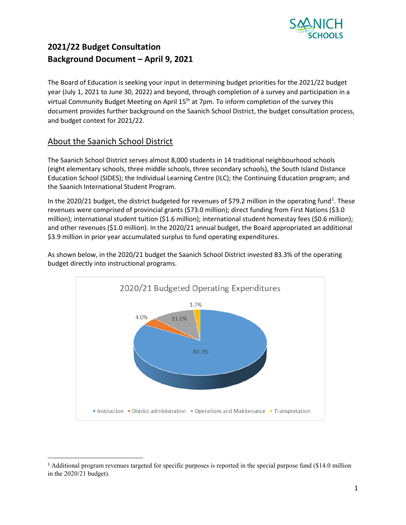

The Board of Education is seeking your input in determining budget priorities for the 2021/22 budget year (July 1, 2021 to June 30, 2022) and beyond, through completion of a survey and participation in a virtual Community Budget Meeting on April 15<sup>th</sup> at 7pm. To inform completion of the survey this document provides further background on the Saanich School District, the budget consultation process, and budget context for 2021/22.

### About the Saanich School District

The Saanich School District serves almost 8,000 students in 14 traditional neighbourhood schools (eight elementary schools, three middle schools, three secondary schools), the South Island Distance Education School (SIDES); the Individual Learning Centre (ILC); the Continuing Education program; and the Saanich International Student Program.

In the 2020/2[1](#page-0-0) budget, the district budgeted for revenues of \$79.2 million in the operating fund<sup>1</sup>. These revenues were comprised of provincial grants (\$73.0 million); direct funding from First Nations (\$3.0 million); international student tuition (\$1.6 million); international student homestay fees (\$0.6 million); and other revenues (\$1.0 million). In the 2020/21 annual budget, the Board appropriated an additional \$3.9 million in prior year accumulated surplus to fund operating expenditures.



As shown below, in the 2020/21 budget the Saanich School District invested 83.3% of the operating budget directly into instructional programs.

<span id="page-0-0"></span><sup>&</sup>lt;sup>1</sup> Additional program revenues targeted for specific purposes is reported in the special purpose fund (\$14.0 million in the 2020/21 budget).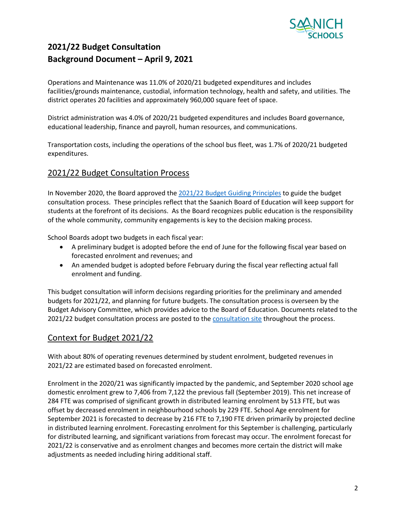

Operations and Maintenance was 11.0% of 2020/21 budgeted expenditures and includes facilities/grounds maintenance, custodial, information technology, health and safety, and utilities. The district operates 20 facilities and approximately 960,000 square feet of space.

District administration was 4.0% of 2020/21 budgeted expenditures and includes Board governance, educational leadership, finance and payroll, human resources, and communications.

Transportation costs, including the operations of the school bus fleet, was 1.7% of 2020/21 budgeted expenditures.

### 2021/22 Budget Consultation Process

In November 2020, the Board approved the 2021/22 [Budget Guiding Principles](https://www.sd63.bc.ca/sites/default/files/20212022GuidingPrinciples.pdf) to guide the budget consultation process. These principles reflect that the Saanich Board of Education will keep support for students at the forefront of its decisions. As the Board recognizes public education is the responsibility of the whole community, community engagements is key to the decision making process.

School Boards adopt two budgets in each fiscal year:

- A preliminary budget is adopted before the end of June for the following fiscal year based on forecasted enrolment and revenues; and
- An amended budget is adopted before February during the fiscal year reflecting actual fall enrolment and funding.

This budget consultation will inform decisions regarding priorities for the preliminary and amended budgets for 2021/22, and planning for future budgets. The consultation process is overseen by the Budget Advisory Committee, which provides advice to the Board of Education. Documents related to the 2021/22 budget consultation process are posted to the [consultation site](https://www.sd63.bc.ca/leadership-governance/budget-and-finance/2021-2022-budget-documents) throughout the process.

### Context for Budget 2021/22

With about 80% of operating revenues determined by student enrolment, budgeted revenues in 2021/22 are estimated based on forecasted enrolment.

Enrolment in the 2020/21 was significantly impacted by the pandemic, and September 2020 school age domestic enrolment grew to 7,406 from 7,122 the previous fall (September 2019). This net increase of 284 FTE was comprised of significant growth in distributed learning enrolment by 513 FTE, but was offset by decreased enrolment in neighbourhood schools by 229 FTE. School Age enrolment for September 2021 is forecasted to decrease by 216 FTE to 7,190 FTE driven primarily by projected decline in distributed learning enrolment. Forecasting enrolment for this September is challenging, particularly for distributed learning, and significant variations from forecast may occur. The enrolment forecast for 2021/22 is conservative and as enrolment changes and becomes more certain the district will make adjustments as needed including hiring additional staff.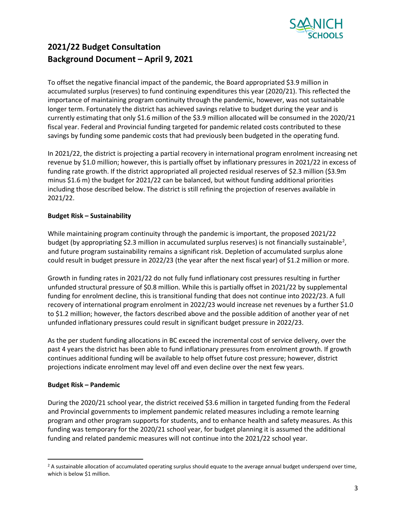

To offset the negative financial impact of the pandemic, the Board appropriated \$3.9 million in accumulated surplus (reserves) to fund continuing expenditures this year (2020/21). This reflected the importance of maintaining program continuity through the pandemic, however, was not sustainable longer term. Fortunately the district has achieved savings relative to budget during the year and is currently estimating that only \$1.6 million of the \$3.9 million allocated will be consumed in the 2020/21 fiscal year. Federal and Provincial funding targeted for pandemic related costs contributed to these savings by funding some pandemic costs that had previously been budgeted in the operating fund.

In 2021/22, the district is projecting a partial recovery in international program enrolment increasing net revenue by \$1.0 million; however, this is partially offset by inflationary pressures in 2021/22 in excess of funding rate growth. If the district appropriated all projected residual reserves of \$2.3 million (\$3.9m minus \$1.6 m) the budget for 2021/22 can be balanced, but without funding additional priorities including those described below. The district is still refining the projection of reserves available in 2021/22.

#### **Budget Risk – Sustainability**

While maintaining program continuity through the pandemic is important, the proposed 2021/22 budget (by appropriating \$2.3 million in accumulated surplus reserves) is not financially sustainable<sup>2</sup>, and future program sustainability remains a significant risk. Depletion of accumulated surplus alone could result in budget pressure in 2022/23 (the year after the next fiscal year) of \$1.2 million or more.

Growth in funding rates in 2021/22 do not fully fund inflationary cost pressures resulting in further unfunded structural pressure of \$0.8 million. While this is partially offset in 2021/22 by supplemental funding for enrolment decline, this is transitional funding that does not continue into 2022/23. A full recovery of international program enrolment in 2022/23 would increase net revenues by a further \$1.0 to \$1.2 million; however, the factors described above and the possible addition of another year of net unfunded inflationary pressures could result in significant budget pressure in 2022/23.

As the per student funding allocations in BC exceed the incremental cost of service delivery, over the past 4 years the district has been able to fund inflationary pressures from enrolment growth. If growth continues additional funding will be available to help offset future cost pressure; however, district projections indicate enrolment may level off and even decline over the next few years.

#### **Budget Risk – Pandemic**

During the 2020/21 school year, the district received \$3.6 million in targeted funding from the Federal and Provincial governments to implement pandemic related measures including a remote learning program and other program supports for students, and to enhance health and safety measures. As this funding was temporary for the 2020/21 school year, for budget planning it is assumed the additional funding and related pandemic measures will not continue into the 2021/22 school year.

<span id="page-2-0"></span><sup>&</sup>lt;sup>2</sup> A sustainable allocation of accumulated operating surplus should equate to the average annual budget underspend over time, which is below \$1 million.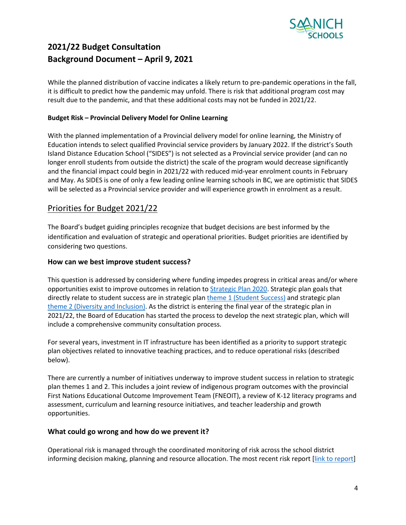

While the planned distribution of vaccine indicates a likely return to pre-pandemic operations in the fall, it is difficult to predict how the pandemic may unfold. There is risk that additional program cost may result due to the pandemic, and that these additional costs may not be funded in 2021/22.

#### **Budget Risk – Provincial Delivery Model for Online Learning**

With the planned implementation of a Provincial delivery model for online learning, the Ministry of Education intends to select qualified Provincial service providers by January 2022. If the district's South Island Distance Education School ("SIDES") is not selected as a Provincial service provider (and can no longer enroll students from outside the district) the scale of the program would decrease significantly and the financial impact could begin in 2021/22 with reduced mid-year enrolment counts in February and May. As SIDES is one of only a few leading online learning schools in BC, we are optimistic that SIDES will be selected as a Provincial service provider and will experience growth in enrolment as a result.

### Priorities for Budget 2021/22

The Board's budget guiding principles recognize that budget decisions are best informed by the identification and evaluation of strategic and operational priorities. Budget priorities are identified by considering two questions.

#### **How can we best improve student success?**

This question is addressed by considering where funding impedes progress in critical areas and/or where opportunities exist to improve outcomes in relation to [Strategic Plan 2020.](https://www.sd63.bc.ca/sp/) Strategic plan goals that directly relate to student success are in strategic plan [theme 1 \(Student Success\)](https://www.sd63.bc.ca/sp/themeone.shtml) and strategic plan [theme 2 \(Diversity and Inclusion\).](https://www.sd63.bc.ca/sp/themetwo.shtml) As the district is entering the final year of the strategic plan in 2021/22, the Board of Education has started the process to develop the next strategic plan, which will include a comprehensive community consultation process.

For several years, investment in IT infrastructure has been identified as a priority to support strategic plan objectives related to innovative teaching practices, and to reduce operational risks (described below).

There are currently a number of initiatives underway to improve student success in relation to strategic plan themes 1 and 2. This includes a joint review of indigenous program outcomes with the provincial First Nations Educational Outcome Improvement Team (FNEOIT), a review of K-12 literacy programs and assessment, curriculum and learning resource initiatives, and teacher leadership and growth opportunities.

#### **What could go wrong and how do we prevent it?**

Operational risk is managed through the coordinated monitoring of risk across the school district informing decision making, planning and resource allocation. The most recent risk report [\[link to report\]](https://www.sd63.bc.ca/sites/default/files/Risk%20Report%20-%20February%2024%202021.pdf)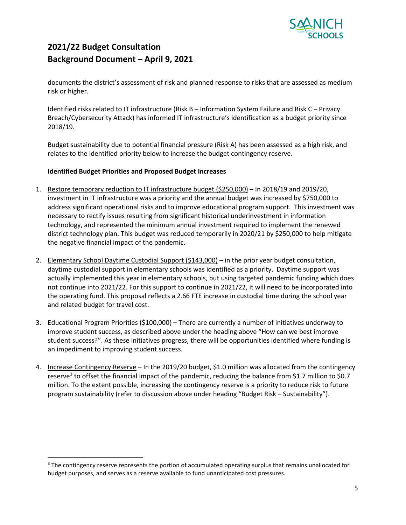

documents the district's assessment of risk and planned response to risks that are assessed as medium risk or higher.

Identified risks related to IT infrastructure (Risk B – Information System Failure and Risk C – Privacy Breach/Cybersecurity Attack) has informed IT infrastructure's identification as a budget priority since 2018/19.

Budget sustainability due to potential financial pressure (Risk A) has been assessed as a high risk, and relates to the identified priority below to increase the budget contingency reserve.

#### **Identified Budget Priorities and Proposed Budget Increases**

- 1. Restore temporary reduction to IT infrastructure budget (\$250,000) In 2018/19 and 2019/20, investment in IT infrastructure was a priority and the annual budget was increased by \$750,000 to address significant operational risks and to improve educational program support. This investment was necessary to rectify issues resulting from significant historical underinvestment in information technology, and represented the minimum annual investment required to implement the renewed district technology plan. This budget was reduced temporarily in 2020/21 by \$250,000 to help mitigate the negative financial impact of the pandemic.
- 2. Elementary School Daytime Custodial Support (\$143,000) in the prior year budget consultation, daytime custodial support in elementary schools was identified as a priority. Daytime support was actually implemented this year in elementary schools, but using targeted pandemic funding which does not continue into 2021/22. For this support to continue in 2021/22, it will need to be incorporated into the operating fund. This proposal reflects a 2.66 FTE increase in custodial time during the school year and related budget for travel cost.
- 3. Educational Program Priorities (\$100,000) There are currently a number of initiatives underway to improve student success, as described above under the heading above "How can we best improve student success?". As these initiatives progress, there will be opportunities identified where funding is an impediment to improving student success.
- 4. Increase Contingency Reserve In the 2019/20 budget, \$1.0 million was allocated from the contingency reserve<sup>[3](#page-4-0)</sup> to offset the financial impact of the pandemic, reducing the balance from \$1.7 million to \$0.7 million. To the extent possible, increasing the contingency reserve is a priority to reduce risk to future program sustainability (refer to discussion above under heading "Budget Risk – Sustainability").

<span id="page-4-0"></span><sup>&</sup>lt;sup>3</sup> The contingency reserve represents the portion of accumulated operating surplus that remains unallocated for budget purposes, and serves as a reserve available to fund unanticipated cost pressures.